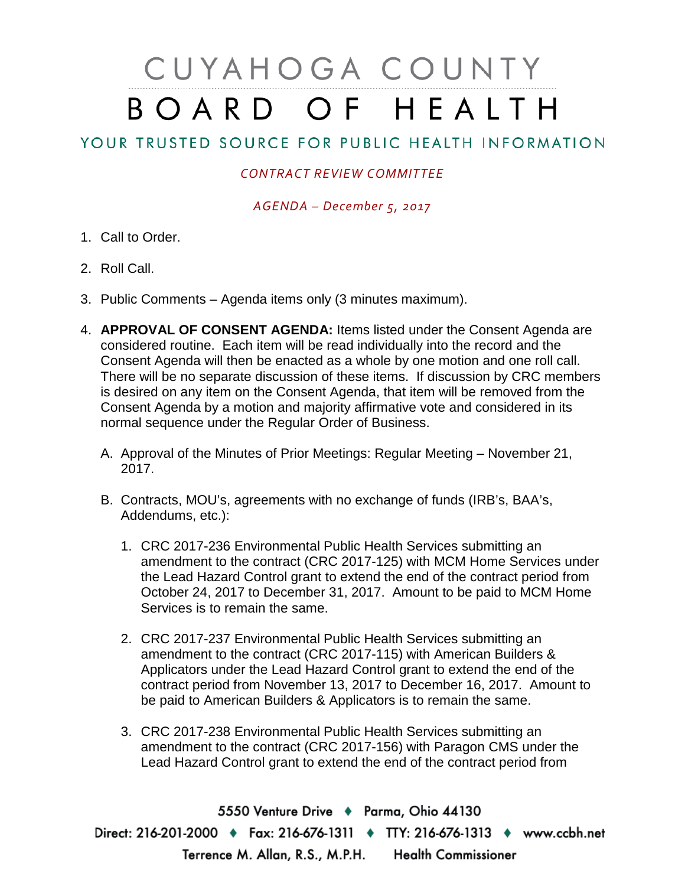## CUYAHOGA COUNTY BOARD OF HEALTH

## YOUR TRUSTED SOURCE FOR PUBLIC HEALTH INFORMATION

## *CONTRACT REVIEW COMMITTEE*

*AGENDA – December 5, 2017*

- 1. Call to Order.
- 2. Roll Call.
- 3. Public Comments Agenda items only (3 minutes maximum).
- 4. **APPROVAL OF CONSENT AGENDA:** Items listed under the Consent Agenda are considered routine. Each item will be read individually into the record and the Consent Agenda will then be enacted as a whole by one motion and one roll call. There will be no separate discussion of these items. If discussion by CRC members is desired on any item on the Consent Agenda, that item will be removed from the Consent Agenda by a motion and majority affirmative vote and considered in its normal sequence under the Regular Order of Business.
	- A. Approval of the Minutes of Prior Meetings: Regular Meeting November 21, 2017.
	- B. Contracts, MOU's, agreements with no exchange of funds (IRB's, BAA's, Addendums, etc.):
		- 1. CRC 2017-236 Environmental Public Health Services submitting an amendment to the contract (CRC 2017-125) with MCM Home Services under the Lead Hazard Control grant to extend the end of the contract period from October 24, 2017 to December 31, 2017. Amount to be paid to MCM Home Services is to remain the same.
		- 2. CRC 2017-237 Environmental Public Health Services submitting an amendment to the contract (CRC 2017-115) with American Builders & Applicators under the Lead Hazard Control grant to extend the end of the contract period from November 13, 2017 to December 16, 2017. Amount to be paid to American Builders & Applicators is to remain the same.
		- 3. CRC 2017-238 Environmental Public Health Services submitting an amendment to the contract (CRC 2017-156) with Paragon CMS under the Lead Hazard Control grant to extend the end of the contract period from

5550 Venture Drive + Parma, Ohio 44130 Direct: 216-201-2000 • Fax: 216-676-1311 • TTY: 216-676-1313 • www.ccbh.net Terrence M. Allan, R.S., M.P.H. Health Commissioner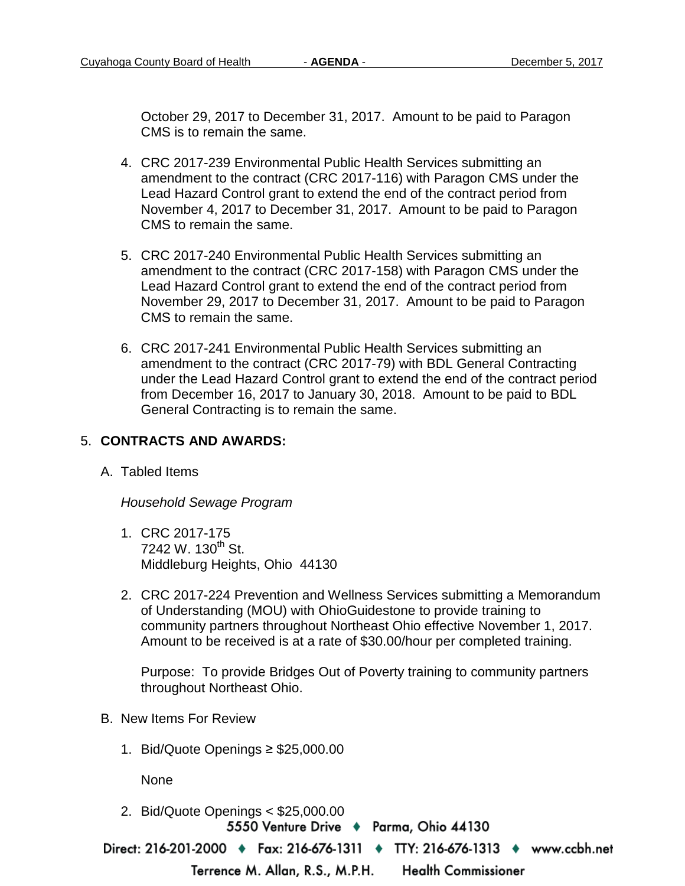October 29, 2017 to December 31, 2017. Amount to be paid to Paragon CMS is to remain the same.

- 4. CRC 2017-239 Environmental Public Health Services submitting an amendment to the contract (CRC 2017-116) with Paragon CMS under the Lead Hazard Control grant to extend the end of the contract period from November 4, 2017 to December 31, 2017. Amount to be paid to Paragon CMS to remain the same.
- 5. CRC 2017-240 Environmental Public Health Services submitting an amendment to the contract (CRC 2017-158) with Paragon CMS under the Lead Hazard Control grant to extend the end of the contract period from November 29, 2017 to December 31, 2017. Amount to be paid to Paragon CMS to remain the same.
- 6. CRC 2017-241 Environmental Public Health Services submitting an amendment to the contract (CRC 2017-79) with BDL General Contracting under the Lead Hazard Control grant to extend the end of the contract period from December 16, 2017 to January 30, 2018. Amount to be paid to BDL General Contracting is to remain the same.

## 5. **CONTRACTS AND AWARDS:**

A. Tabled Items

*Household Sewage Program*

- 1. CRC 2017-175 7242 W. 130<sup>th</sup> St. Middleburg Heights, Ohio 44130
- 2. CRC 2017-224 Prevention and Wellness Services submitting a Memorandum of Understanding (MOU) with OhioGuidestone to provide training to community partners throughout Northeast Ohio effective November 1, 2017. Amount to be received is at a rate of \$30.00/hour per completed training.

Purpose: To provide Bridges Out of Poverty training to community partners throughout Northeast Ohio.

- B. New Items For Review
	- 1. Bid/Quote Openings ≥ \$25,000.00

None

2. Bid/Quote Openings < \$25,000.005550 Venture Drive + Parma, Ohio 44130

Direct: 216-201-2000 • Fax: 216-676-1311 • TTY: 216-676-1313 • www.ccbh.net

Terrence M. Allan, R.S., M.P.H.

**Health Commissioner**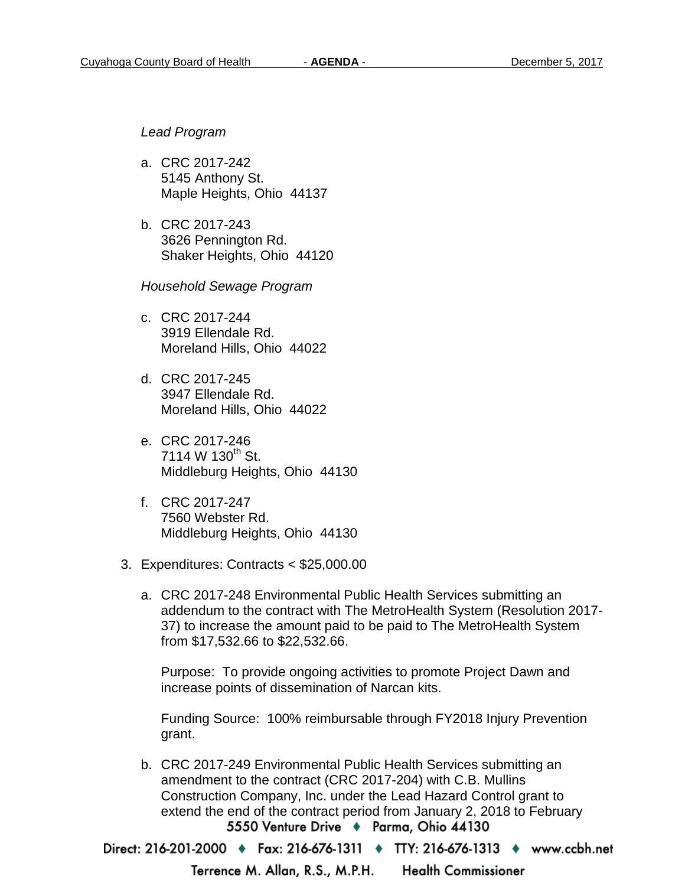*Lead Program* 

- a. CRC 2017-242 5145 Anthony St. Maple Heights, Ohio 44137
- b. CRC 2017-243 3626 Pennington Rd. Shaker Heights, Ohio 44120

*Household Sewage Program* 

- c. CRC 2017-244 3919 Ellendale Rd. Moreland Hills, Ohio 44022
- d. CRC 2017-245 3947 Ellendale Rd. Moreland Hills, Ohio 44022
- e. CRC 2017-246 7114 W  $130^{th}$  St. Middleburg Heights, Ohio 44130
- f. CRC 2017-247 7560 Webster Rd. Middleburg Heights, Ohio 44130
- 3. Expenditures: Contracts < \$25,000.00
	- a. CRC 2017-248 Environmental Public Health Services submitting an addendum to the contract with The MetroHealth System (Resolution 2017- 37) to increase the amount paid to be paid to The MetroHealth System from \$17,532.66 to \$22,532.66.

Purpose: To provide ongoing activities to promote Project Dawn and increase points of dissemination of Narcan kits.

Funding Source: 100% reimbursable through FY2018 Injury Prevention grant.

b. CRC 2017-249 Environmental Public Health Services submitting an amendment to the contract (CRC 2017-204) with C.B. Mullins Construction Company, Inc. under the Lead Hazard Control grant to extend the end of the contract period from January 2, 2018 to February 5550 Venture Drive + Parma, Ohio 44130

Direct: 216-201-2000 ♦ Fax: 216-676-1311 ♦ TTY: 216-676-1313 ♦ www.ccbh.net

Terrence M. Allan, R.S., M.P.H. **Health Commissioner**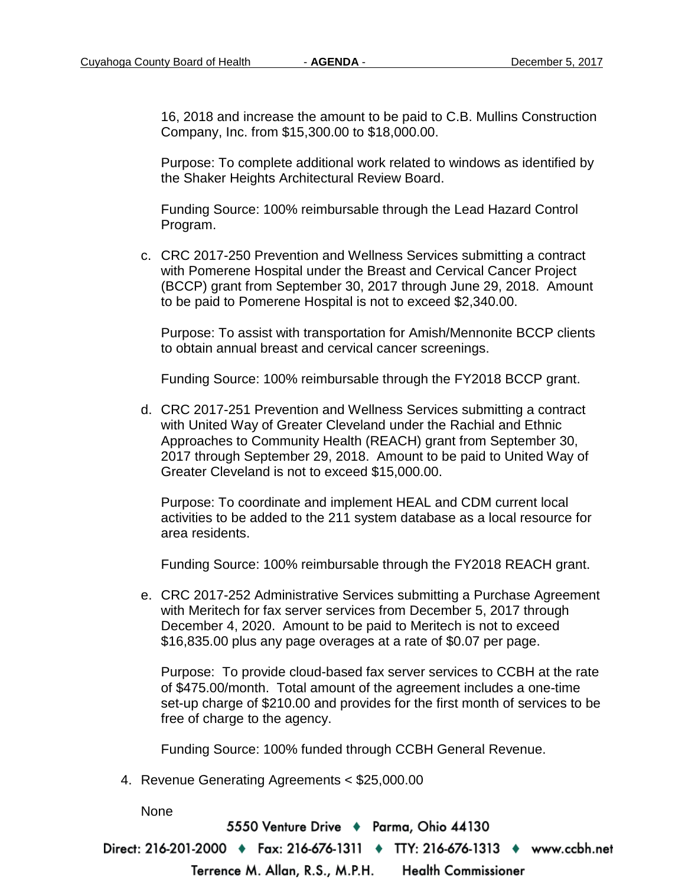16, 2018 and increase the amount to be paid to C.B. Mullins Construction Company, Inc. from \$15,300.00 to \$18,000.00.

Purpose: To complete additional work related to windows as identified by the Shaker Heights Architectural Review Board.

Funding Source: 100% reimbursable through the Lead Hazard Control Program.

c. CRC 2017-250 Prevention and Wellness Services submitting a contract with Pomerene Hospital under the Breast and Cervical Cancer Project (BCCP) grant from September 30, 2017 through June 29, 2018. Amount to be paid to Pomerene Hospital is not to exceed \$2,340.00.

Purpose: To assist with transportation for Amish/Mennonite BCCP clients to obtain annual breast and cervical cancer screenings.

Funding Source: 100% reimbursable through the FY2018 BCCP grant.

d. CRC 2017-251 Prevention and Wellness Services submitting a contract with United Way of Greater Cleveland under the Rachial and Ethnic Approaches to Community Health (REACH) grant from September 30, 2017 through September 29, 2018. Amount to be paid to United Way of Greater Cleveland is not to exceed \$15,000.00.

Purpose: To coordinate and implement HEAL and CDM current local activities to be added to the 211 system database as a local resource for area residents.

Funding Source: 100% reimbursable through the FY2018 REACH grant.

e. CRC 2017-252 Administrative Services submitting a Purchase Agreement with Meritech for fax server services from December 5, 2017 through December 4, 2020. Amount to be paid to Meritech is not to exceed \$16,835.00 plus any page overages at a rate of \$0.07 per page.

Purpose: To provide cloud-based fax server services to CCBH at the rate of \$475.00/month. Total amount of the agreement includes a one-time set-up charge of \$210.00 and provides for the first month of services to be free of charge to the agency.

Funding Source: 100% funded through CCBH General Revenue.

4. Revenue Generating Agreements < \$25,000.00

None

5550 Venture Drive + Parma, Ohio 44130

Direct: 216-201-2000 • Fax: 216-676-1311 • TTY: 216-676-1313 • www.ccbh.net

**Health Commissioner** Terrence M. Allan, R.S., M.P.H.